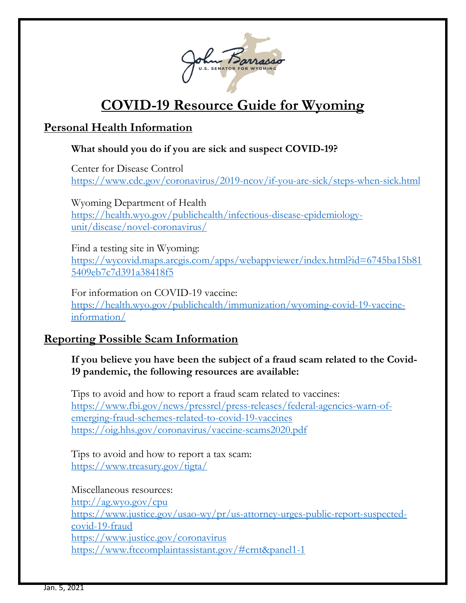

# **COVID-19 Resource Guide for Wyoming**

# **Personal Health Information**

### **What should you do if you are sick and suspect COVID-19?**

Center for Disease Control <https://www.cdc.gov/coronavirus/2019-ncov/if-you-are-sick/steps-when-sick.html>

Wyoming Department of Health [https://health.wyo.gov/publichealth/infectious-disease-epidemiology](https://health.wyo.gov/publichealth/infectious-disease-epidemiology-unit/disease/novel-coronavirus/)[unit/disease/novel-coronavirus/](https://health.wyo.gov/publichealth/infectious-disease-epidemiology-unit/disease/novel-coronavirus/)

Find a testing site in Wyoming: [https://wycovid.maps.arcgis.com/apps/webappviewer/index.html?id=6745ba15b81](https://wycovid.maps.arcgis.com/apps/webappviewer/index.html?id=6745ba15b815409eb7c7d391a38418f5) [5409eb7c7d391a38418f5](https://wycovid.maps.arcgis.com/apps/webappviewer/index.html?id=6745ba15b815409eb7c7d391a38418f5)

For information on COVID-19 vaccine: [https://health.wyo.gov/publichealth/immunization/wyoming-covid-19-vaccine](https://health.wyo.gov/publichealth/immunization/wyoming-covid-19-vaccine-information/)[information/](https://health.wyo.gov/publichealth/immunization/wyoming-covid-19-vaccine-information/)

# **Reporting Possible Scam Information**

### **If you believe you have been the subject of a fraud scam related to the Covid-19 pandemic, the following resources are available:**

Tips to avoid and how to report a fraud scam related to vaccines: [https://www.fbi.gov/news/pressrel/press-releases/federal-agencies-warn-of](https://www.fbi.gov/news/pressrel/press-releases/federal-agencies-warn-of-emerging-fraud-schemes-related-to-covid-19-vaccines)[emerging-fraud-schemes-related-to-covid-19-vaccines](https://www.fbi.gov/news/pressrel/press-releases/federal-agencies-warn-of-emerging-fraud-schemes-related-to-covid-19-vaccines) <https://oig.hhs.gov/coronavirus/vaccine-scams2020.pdf>

Tips to avoid and how to report a tax scam: <https://www.treasury.gov/tigta/>

Miscellaneous resources: <http://ag.wyo.gov/cpu> [https://www.justice.gov/usao-wy/pr/us-attorney-urges-public-report-suspected](https://www.justice.gov/usao-wy/pr/us-attorney-urges-public-report-suspected-covid-19-fraud)[covid-19-fraud](https://www.justice.gov/usao-wy/pr/us-attorney-urges-public-report-suspected-covid-19-fraud) <https://www.justice.gov/coronavirus> <https://www.ftccomplaintassistant.gov/#crnt&panel1-1>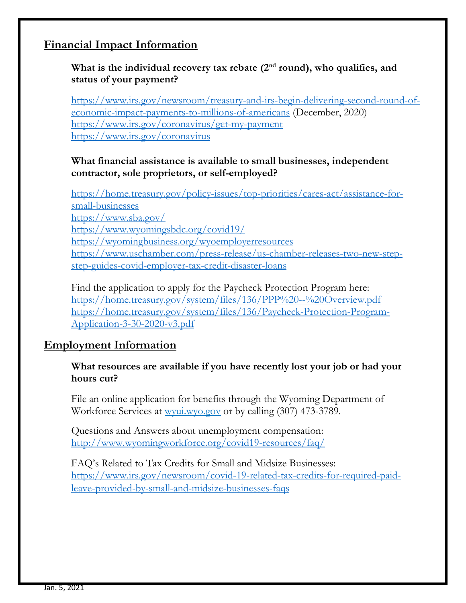## **Financial Impact Information**

### What is the individual recovery tax rebate (2<sup>nd</sup> round), who qualifies, and **status of your payment?**

[https://www.irs.gov/newsroom/treasury-and-irs-begin-delivering-second-round-of](https://www.irs.gov/newsroom/treasury-and-irs-begin-delivering-second-round-of-economic-impact-payments-to-millions-of-americans)[economic-impact-payments-to-millions-of-americans](https://www.irs.gov/newsroom/treasury-and-irs-begin-delivering-second-round-of-economic-impact-payments-to-millions-of-americans) (December, 2020) <https://www.irs.gov/coronavirus/get-my-payment> <https://www.irs.gov/coronavirus>

#### **What financial assistance is available to small businesses, independent contractor, sole proprietors, or self-employed?**

[https://home.treasury.gov/policy-issues/top-priorities/cares-act/assistance-for](https://home.treasury.gov/policy-issues/top-priorities/cares-act/assistance-for-small-businesses)[small-businesses](https://home.treasury.gov/policy-issues/top-priorities/cares-act/assistance-for-small-businesses) <https://www.sba.gov/> <https://www.wyomingsbdc.org/covid19/> <https://wyomingbusiness.org/wyoemployerresources> [https://www.uschamber.com/press-release/us-chamber-releases-two-new-step](https://www.uschamber.com/press-release/us-chamber-releases-two-new-step-step-guides-covid-employer-tax-credit-disaster-loans)[step-guides-covid-employer-tax-credit-disaster-loans](https://www.uschamber.com/press-release/us-chamber-releases-two-new-step-step-guides-covid-employer-tax-credit-disaster-loans)

Find the application to apply for the Paycheck Protection Program here: <https://home.treasury.gov/system/files/136/PPP%20--%20Overview.pdf> [https://home.treasury.gov/system/files/136/Paycheck-Protection-Program-](https://home.treasury.gov/system/files/136/Paycheck-Protection-Program-Application-3-30-2020-v3.pdf)[Application-3-30-2020-v3.pdf](https://home.treasury.gov/system/files/136/Paycheck-Protection-Program-Application-3-30-2020-v3.pdf)

### **Employment Information**

#### **What resources are available if you have recently lost your job or had your hours cut?**

File an online application for benefits through the Wyoming Department of Workforce Services at wyui.wyo.gov or by calling (307) 473-3789.

Questions and Answers about unemployment compensation: <http://www.wyomingworkforce.org/covid19-resources/faq/>

FAQ's Related to Tax Credits for Small and Midsize Businesses: [https://www.irs.gov/newsroom/covid-19-related-tax-credits-for-required-paid](https://www.irs.gov/newsroom/covid-19-related-tax-credits-for-required-paid-leave-provided-by-small-and-midsize-businesses-faqs)[leave-provided-by-small-and-midsize-businesses-faqs](https://www.irs.gov/newsroom/covid-19-related-tax-credits-for-required-paid-leave-provided-by-small-and-midsize-businesses-faqs)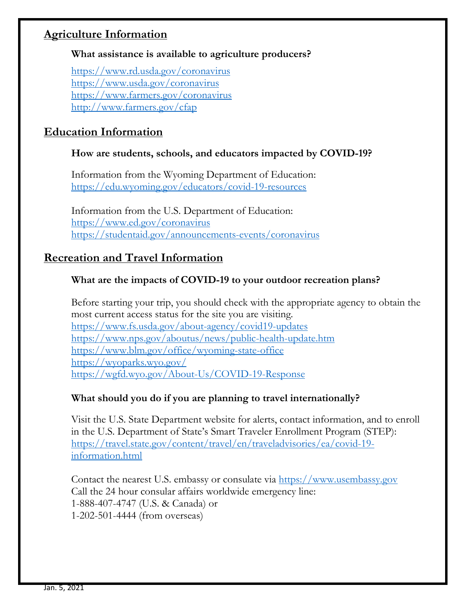## **Agriculture Information**

#### **What assistance is available to agriculture producers?**

<https://www.rd.usda.gov/coronavirus> <https://www.usda.gov/coronavirus> <https://www.farmers.gov/coronavirus> <http://www.farmers.gov/cfap>

# **Education Information**

### **How are students, schools, and educators impacted by COVID-19?**

Information from the Wyoming Department of Education: <https://edu.wyoming.gov/educators/covid-19-resources>

Information from the U.S. Department of Education: <https://www.ed.gov/coronavirus> <https://studentaid.gov/announcements-events/coronavirus>

# **Recreation and Travel Information**

### **What are the impacts of COVID-19 to your outdoor recreation plans?**

Before starting your trip, you should check with the appropriate agency to obtain the most current access status for the site you are visiting. <https://www.fs.usda.gov/about-agency/covid19-updates> <https://www.nps.gov/aboutus/news/public-health-update.htm> <https://www.blm.gov/office/wyoming-state-office> <https://wyoparks.wyo.gov/> <https://wgfd.wyo.gov/About-Us/COVID-19-Response>

### **What should you do if you are planning to travel internationally?**

Visit the U.S. State Department website for alerts, contact information, and to enroll in the U.S. Department of State's Smart Traveler Enrollment Program (STEP): [https://travel.state.gov/content/travel/en/traveladvisories/ea/covid-19](https://travel.state.gov/content/travel/en/traveladvisories/ea/covid-19-information.html) [information.html](https://travel.state.gov/content/travel/en/traveladvisories/ea/covid-19-information.html)

Contact the nearest U.S. embassy or consulate via [https://www.usembassy.gov](https://www.usembassy.gov/) Call the 24 hour consular affairs worldwide emergency line: 1-888-407-4747 (U.S. & Canada) or 1-202-501-4444 (from overseas)